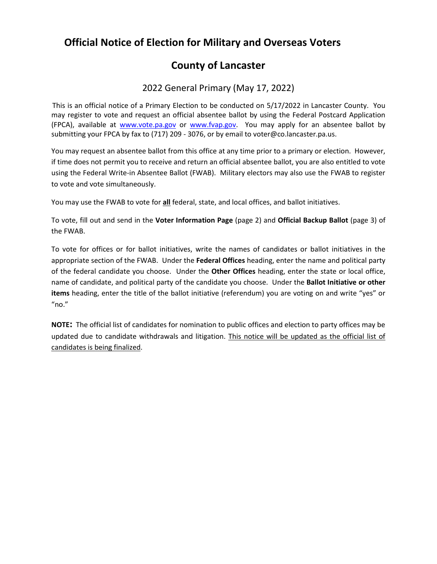# **Official Notice of Election for Military and Overseas Voters**

## **County of Lancaster**

## 2022 General Primary (May 17, 2022)

This is an official notice of a Primary Election to be conducted on 5/17/2022 in Lancaster County. You may register to vote and request an official absentee ballot by using the Federal Postcard Application (FPCA), available at [www.vote.pa.gov](http://www.vote.pa.gov/) or [www.fvap.gov.](http://www.fvap.gov/) You may apply for an absentee ballot by submitting your FPCA by fax to (717) 209 - 3076, or by email to voter@co.lancaster.pa.us.

You may request an absentee ballot from this office at any time prior to a primary or election. However, if time does not permit you to receive and return an official absentee ballot, you are also entitled to vote using the Federal Write-in Absentee Ballot (FWAB). Military electors may also use the FWAB to register to vote and vote simultaneously.

You may use the FWAB to vote for **all** federal, state, and local offices, and ballot initiatives.

To vote, fill out and send in the **Voter Information Page** (page 2) and **Official Backup Ballot** (page 3) of the FWAB.

To vote for offices or for ballot initiatives, write the names of candidates or ballot initiatives in the appropriate section of the FWAB. Under the **Federal Offices** heading, enter the name and political party of the federal candidate you choose. Under the **Other Offices** heading, enter the state or local office, name of candidate, and political party of the candidate you choose. Under the **Ballot Initiative or other items** heading, enter the title of the ballot initiative (referendum) you are voting on and write "yes" or "no."

**NOTE:** The official list of candidates for nomination to public offices and election to party offices may be updated due to candidate withdrawals and litigation. This notice will be updated as the official list of candidates is being finalized.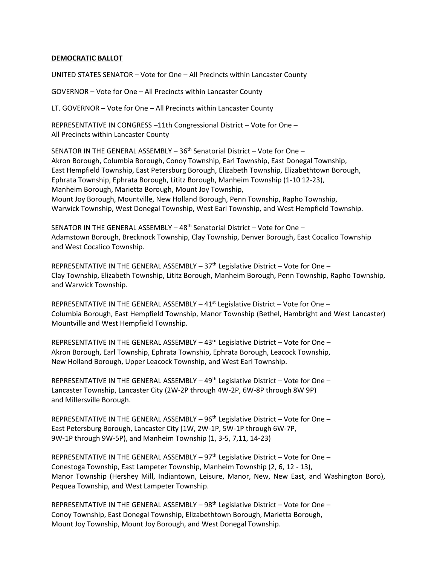#### **DEMOCRATIC BALLOT**

UNITED STATES SENATOR – Vote for One – All Precincts within Lancaster County

GOVERNOR – Vote for One – All Precincts within Lancaster County

LT. GOVERNOR – Vote for One – All Precincts within Lancaster County

REPRESENTATIVE IN CONGRESS –11th Congressional District – Vote for One – All Precincts within Lancaster County

SENATOR IN THE GENERAL ASSEMBLY - 36<sup>th</sup> Senatorial District - Vote for One -Akron Borough, Columbia Borough, Conoy Township, Earl Township, East Donegal Township, East Hempfield Township, East Petersburg Borough, Elizabeth Township, Elizabethtown Borough, Ephrata Township, Ephrata Borough, Lititz Borough, Manheim Township (1-10 12-23), Manheim Borough, Marietta Borough, Mount Joy Township, Mount Joy Borough, Mountville, New Holland Borough, Penn Township, Rapho Township, Warwick Township, West Donegal Township, West Earl Township, and West Hempfield Township.

SENATOR IN THE GENERAL ASSEMBLY – 48th Senatorial District – Vote for One – Adamstown Borough, Brecknock Township, Clay Township, Denver Borough, East Cocalico Township and West Cocalico Township.

REPRESENTATIVE IN THE GENERAL ASSEMBLY - 37<sup>th</sup> Legislative District - Vote for One -Clay Township, Elizabeth Township, Lititz Borough, Manheim Borough, Penn Township, Rapho Township, and Warwick Township.

REPRESENTATIVE IN THE GENERAL ASSEMBLY  $-41<sup>st</sup>$  Legislative District – Vote for One – Columbia Borough, East Hempfield Township, Manor Township (Bethel, Hambright and West Lancaster) Mountville and West Hempfield Township.

REPRESENTATIVE IN THE GENERAL ASSEMBLY  $-43<sup>rd</sup>$  Legislative District – Vote for One – Akron Borough, Earl Township, Ephrata Township, Ephrata Borough, Leacock Township, New Holland Borough, Upper Leacock Township, and West Earl Township.

REPRESENTATIVE IN THE GENERAL ASSEMBLY - 49<sup>th</sup> Legislative District - Vote for One -Lancaster Township, Lancaster City (2W-2P through 4W-2P, 6W-8P through 8W 9P) and Millersville Borough.

REPRESENTATIVE IN THE GENERAL ASSEMBLY - 96<sup>th</sup> Legislative District - Vote for One -East Petersburg Borough, Lancaster City (1W, 2W-1P, 5W-1P through 6W-7P, 9W-1P through 9W-5P), and Manheim Township (1, 3-5, 7,11, 14-23)

REPRESENTATIVE IN THE GENERAL ASSEMBLY  $-97<sup>th</sup>$  Legislative District – Vote for One – Conestoga Township, East Lampeter Township, Manheim Township (2, 6, 12 - 13), Manor Township (Hershey Mill, Indiantown, Leisure, Manor, New, New East, and Washington Boro), Pequea Township, and West Lampeter Township.

REPRESENTATIVE IN THE GENERAL ASSEMBLY – 98th Legislative District – Vote for One – Conoy Township, East Donegal Township, Elizabethtown Borough, Marietta Borough, Mount Joy Township, Mount Joy Borough, and West Donegal Township.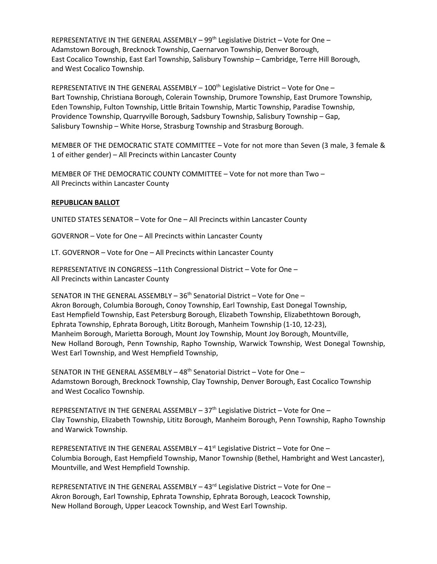REPRESENTATIVE IN THE GENERAL ASSEMBLY – 99th Legislative District – Vote for One – Adamstown Borough, Brecknock Township, Caernarvon Township, Denver Borough, East Cocalico Township, East Earl Township, Salisbury Township – Cambridge, Terre Hill Borough, and West Cocalico Township.

REPRESENTATIVE IN THE GENERAL ASSEMBLY – 100th Legislative District – Vote for One – Bart Township, Christiana Borough, Colerain Township, Drumore Township, East Drumore Township, Eden Township, Fulton Township, Little Britain Township, Martic Township, Paradise Township, Providence Township, Quarryville Borough, Sadsbury Township, Salisbury Township – Gap, Salisbury Township – White Horse, Strasburg Township and Strasburg Borough.

MEMBER OF THE DEMOCRATIC STATE COMMITTEE – Vote for not more than Seven (3 male, 3 female & 1 of either gender) – All Precincts within Lancaster County

MEMBER OF THE DEMOCRATIC COUNTY COMMITTEE – Vote for not more than Two – All Precincts within Lancaster County

### **REPUBLICAN BALLOT**

UNITED STATES SENATOR – Vote for One – All Precincts within Lancaster County

GOVERNOR – Vote for One – All Precincts within Lancaster County

LT. GOVERNOR – Vote for One – All Precincts within Lancaster County

REPRESENTATIVE IN CONGRESS –11th Congressional District – Vote for One – All Precincts within Lancaster County

SENATOR IN THE GENERAL ASSEMBLY  $-36<sup>th</sup>$  Senatorial District  $-$  Vote for One  $-$ Akron Borough, Columbia Borough, Conoy Township, Earl Township, East Donegal Township, East Hempfield Township, East Petersburg Borough, Elizabeth Township, Elizabethtown Borough, Ephrata Township, Ephrata Borough, Lititz Borough, Manheim Township (1-10, 12-23), Manheim Borough, Marietta Borough, Mount Joy Township, Mount Joy Borough, Mountville, New Holland Borough, Penn Township, Rapho Township, Warwick Township, West Donegal Township, West Earl Township, and West Hempfield Township,

SENATOR IN THE GENERAL ASSEMBLY – 48th Senatorial District – Vote for One – Adamstown Borough, Brecknock Township, Clay Township, Denver Borough, East Cocalico Township and West Cocalico Township.

REPRESENTATIVE IN THE GENERAL ASSEMBLY - 37<sup>th</sup> Legislative District - Vote for One -Clay Township, Elizabeth Township, Lititz Borough, Manheim Borough, Penn Township, Rapho Township and Warwick Township.

REPRESENTATIVE IN THE GENERAL ASSEMBLY  $-41<sup>st</sup>$  Legislative District – Vote for One – Columbia Borough, East Hempfield Township, Manor Township (Bethel, Hambright and West Lancaster), Mountville, and West Hempfield Township.

REPRESENTATIVE IN THE GENERAL ASSEMBLY  $-43$ <sup>rd</sup> Legislative District – Vote for One – Akron Borough, Earl Township, Ephrata Township, Ephrata Borough, Leacock Township, New Holland Borough, Upper Leacock Township, and West Earl Township.